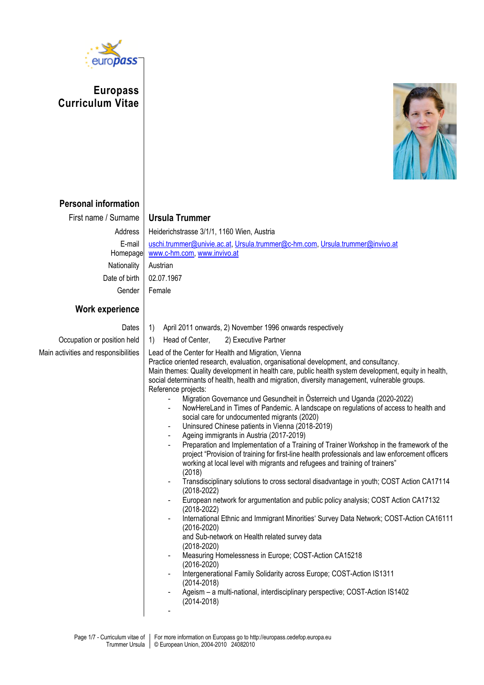

**Europass Curriculum Vitae**



## **Personal information**

| First name / Surname<br>Address<br>E-mail<br>Homepage<br>Nationality<br>Date of birth<br>Gender | <b>Ursula Trummer</b><br>Heiderichstrasse 3/1/1, 1160 Wien, Austria<br>uschi.trummer@univie.ac.at, Ursula.trummer@c-hm.com, Ursula.trummer@invivo.at<br>www.c-hm.com, www.invivo.at<br>Austrian<br>02.07.1967<br>Female                                                                                                                                                                                                                                                                                                                                                                                                                                                                                                                                                                                                                                                                                                                                                                                                                                                                                                                                                                                                                                                                                                                                                                                                                                                                                                                                                                                                                                                                                                                                                                                                                                                                                                                                                                                                            |
|-------------------------------------------------------------------------------------------------|------------------------------------------------------------------------------------------------------------------------------------------------------------------------------------------------------------------------------------------------------------------------------------------------------------------------------------------------------------------------------------------------------------------------------------------------------------------------------------------------------------------------------------------------------------------------------------------------------------------------------------------------------------------------------------------------------------------------------------------------------------------------------------------------------------------------------------------------------------------------------------------------------------------------------------------------------------------------------------------------------------------------------------------------------------------------------------------------------------------------------------------------------------------------------------------------------------------------------------------------------------------------------------------------------------------------------------------------------------------------------------------------------------------------------------------------------------------------------------------------------------------------------------------------------------------------------------------------------------------------------------------------------------------------------------------------------------------------------------------------------------------------------------------------------------------------------------------------------------------------------------------------------------------------------------------------------------------------------------------------------------------------------------|
| <b>Work experience</b>                                                                          |                                                                                                                                                                                                                                                                                                                                                                                                                                                                                                                                                                                                                                                                                                                                                                                                                                                                                                                                                                                                                                                                                                                                                                                                                                                                                                                                                                                                                                                                                                                                                                                                                                                                                                                                                                                                                                                                                                                                                                                                                                    |
| Dates<br>Occupation or position held<br>Main activities and responsibilities                    | 1)<br>April 2011 onwards, 2) November 1996 onwards respectively<br>1)<br>Head of Center,<br>2) Executive Partner<br>Lead of the Center for Health and Migration, Vienna<br>Practice oriented research, evaluation, organisational development, and consultancy.<br>Main themes: Quality development in health care, public health system development, equity in health,<br>social determinants of health, health and migration, diversity management, vulnerable groups.<br>Reference projects:<br>Migration Governance und Gesundheit in Österreich und Uganda (2020-2022)<br>$\blacksquare$<br>NowHereLand in Times of Pandemic. A landscape on regulations of access to health and<br>$\qquad \qquad \blacksquare$<br>social care for undocumented migrants (2020)<br>Uninsured Chinese patients in Vienna (2018-2019)<br>$\overline{\phantom{a}}$<br>Ageing immigrants in Austria (2017-2019)<br>$\qquad \qquad \blacksquare$<br>Preparation and Implementation of a Training of Trainer Workshop in the framework of the<br>project "Provision of training for first-line health professionals and law enforcement officers<br>working at local level with migrants and refugees and training of trainers"<br>(2018)<br>Transdisciplinary solutions to cross sectoral disadvantage in youth; COST Action CA17114<br>$\overline{\phantom{a}}$<br>$(2018 - 2022)$<br>European network for argumentation and public policy analysis; COST Action CA17132<br>$\qquad \qquad \blacksquare$<br>$(2018 - 2022)$<br>International Ethnic and Immigrant Minorities' Survey Data Network; COST-Action CA16111<br>$\overline{\phantom{m}}$<br>$(2016 - 2020)$<br>and Sub-network on Health related survey data<br>$(2018 - 2020)$<br>Measuring Homelessness in Europe; COST-Action CA15218<br>$\overline{\phantom{a}}$<br>$(2016 - 2020)$<br>Intergenerational Family Solidarity across Europe; COST-Action IS1311<br>$(2014 - 2018)$<br>Ageism - a multi-national, interdisciplinary perspective; COST-Action IS1402<br>$(2014 - 2018)$ |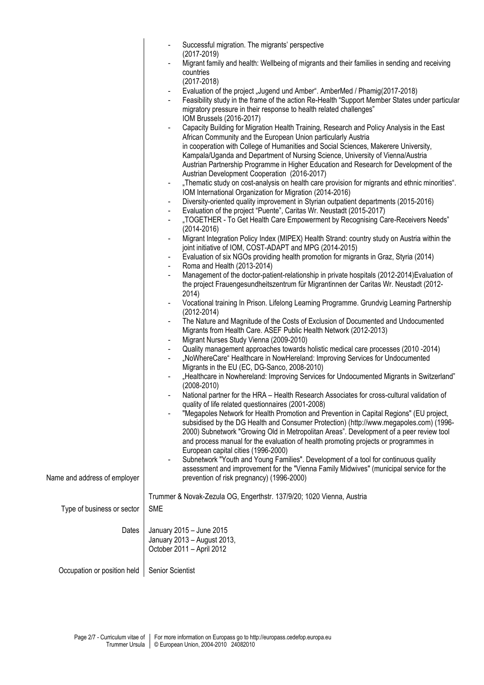|                              | Successful migration. The migrants' perspective                                                                                                                                       |
|------------------------------|---------------------------------------------------------------------------------------------------------------------------------------------------------------------------------------|
|                              | $(2017 - 2019)$                                                                                                                                                                       |
|                              | Migrant family and health: Wellbeing of migrants and their families in sending and receiving<br>countries                                                                             |
|                              | $(2017 - 2018)$                                                                                                                                                                       |
|                              | Evaluation of the project "Jugend und Amber". AmberMed / Phamig(2017-2018)                                                                                                            |
|                              | Feasibility study in the frame of the action Re-Health "Support Member States under particular                                                                                        |
|                              | migratory pressure in their response to health related challenges"                                                                                                                    |
|                              | IOM Brussels (2016-2017)<br>Capacity Building for Migration Health Training, Research and Policy Analysis in the East                                                                 |
|                              | African Community and the European Union particularly Austria                                                                                                                         |
|                              | in cooperation with College of Humanities and Social Sciences, Makerere University,                                                                                                   |
|                              | Kampala/Uganda and Department of Nursing Science, University of Vienna/Austria                                                                                                        |
|                              | Austrian Partnership Programme in Higher Education and Research for Development of the                                                                                                |
|                              | Austrian Development Cooperation (2016-2017)<br>"Thematic study on cost-analysis on health care provision for migrants and ethnic minorities".<br>۰                                   |
|                              | IOM International Organization for Migration (2014-2016)                                                                                                                              |
|                              | Diversity-oriented quality improvement in Styrian outpatient departments (2015-2016)                                                                                                  |
|                              | Evaluation of the project "Puente", Caritas Wr. Neustadt (2015-2017)<br>$\blacksquare$                                                                                                |
|                              | "TOGETHER - To Get Health Care Empowerment by Recognising Care-Receivers Needs"<br>$\blacksquare$                                                                                     |
|                              | $(2014 - 2016)$<br>Migrant Integration Policy Index (MIPEX) Health Strand: country study on Austria within the<br>$\blacksquare$                                                      |
|                              | joint initiative of IOM, COST-ADAPT and MPG (2014-2015)                                                                                                                               |
|                              | Evaluation of six NGOs providing health promotion for migrants in Graz, Styria (2014)                                                                                                 |
|                              | Roma and Health (2013-2014)                                                                                                                                                           |
|                              | Management of the doctor-patient-relationship in private hospitals (2012-2014) Evaluation of<br>the project Frauengesundheitszentrum für Migrantinnen der Caritas Wr. Neustadt (2012- |
|                              | 2014)                                                                                                                                                                                 |
|                              | Vocational training In Prison. Lifelong Learning Programme. Grundvig Learning Partnership<br>$(2012 - 2014)$                                                                          |
|                              | The Nature and Magnitude of the Costs of Exclusion of Documented and Undocumented<br>Migrants from Health Care. ASEF Public Health Network (2012-2013)                                |
|                              | Migrant Nurses Study Vienna (2009-2010)<br>۰                                                                                                                                          |
|                              | Quality management approaches towards holistic medical care processes (2010 - 2014)<br>$\blacksquare$                                                                                 |
|                              | "NoWhereCare" Healthcare in NowHereland: Improving Services for Undocumented                                                                                                          |
|                              | Migrants in the EU (EC, DG-Sanco, 2008-2010)<br>"Healthcare in Nowhereland: Improving Services for Undocumented Migrants in Switzerland"                                              |
|                              | $(2008 - 2010)$                                                                                                                                                                       |
|                              | National partner for the HRA – Health Research Associates for cross-cultural validation of                                                                                            |
|                              | quality of life related questionnaires (2001-2008)                                                                                                                                    |
|                              | "Megapoles Network for Health Promotion and Prevention in Capital Regions" (EU project,<br>subsidised by the DG Health and Consumer Protection) (http://www.megapoles.com) (1996-     |
|                              | 2000) Subnetwork "Growing Old in Metropolitan Areas". Development of a peer review tool                                                                                               |
|                              | and process manual for the evaluation of health promoting projects or programmes in                                                                                                   |
|                              | European capital cities (1996-2000)                                                                                                                                                   |
|                              | Subnetwork "Youth and Young Families". Development of a tool for continuous quality                                                                                                   |
| Name and address of employer | assessment and improvement for the "Vienna Family Midwives" (municipal service for the<br>prevention of risk pregnancy) (1996-2000)                                                   |
|                              |                                                                                                                                                                                       |
|                              | Trummer & Novak-Zezula OG, Engerthstr. 137/9/20; 1020 Vienna, Austria                                                                                                                 |
| Type of business or sector   | <b>SME</b>                                                                                                                                                                            |
|                              |                                                                                                                                                                                       |
| Dates                        | January 2015 - June 2015                                                                                                                                                              |
|                              | January 2013 - August 2013,                                                                                                                                                           |
|                              | October 2011 - April 2012                                                                                                                                                             |
| Occupation or position held  | Senior Scientist                                                                                                                                                                      |
|                              |                                                                                                                                                                                       |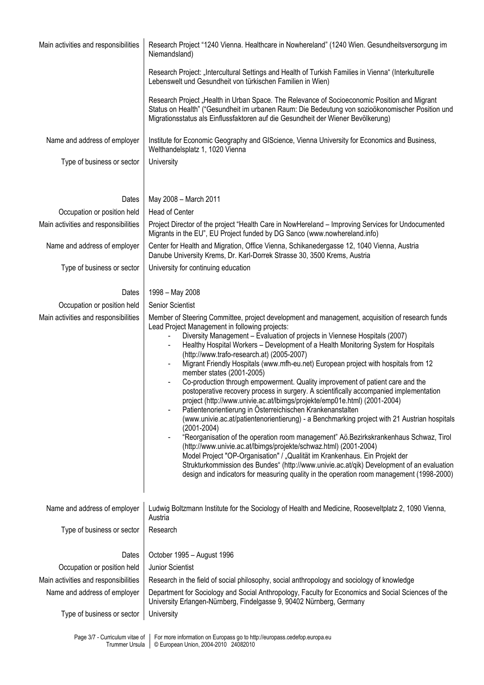| Main activities and responsibilities | Research Project "1240 Vienna. Healthcare in Nowhereland" (1240 Wien. Gesundheitsversorgung im<br>Niemandsland)                                                                                                                                                                                                                                                                                                                                                                                                                                                                                                                                                                                                                                                                                                                                                                                                                                                                                                                                                                                                                                                                                                                                                                                                                                                                                                                          |
|--------------------------------------|------------------------------------------------------------------------------------------------------------------------------------------------------------------------------------------------------------------------------------------------------------------------------------------------------------------------------------------------------------------------------------------------------------------------------------------------------------------------------------------------------------------------------------------------------------------------------------------------------------------------------------------------------------------------------------------------------------------------------------------------------------------------------------------------------------------------------------------------------------------------------------------------------------------------------------------------------------------------------------------------------------------------------------------------------------------------------------------------------------------------------------------------------------------------------------------------------------------------------------------------------------------------------------------------------------------------------------------------------------------------------------------------------------------------------------------|
|                                      | Research Project: "Intercultural Settings and Health of Turkish Families in Vienna" (Interkulturelle<br>Lebenswelt und Gesundheit von türkischen Familien in Wien)                                                                                                                                                                                                                                                                                                                                                                                                                                                                                                                                                                                                                                                                                                                                                                                                                                                                                                                                                                                                                                                                                                                                                                                                                                                                       |
|                                      | Research Project "Health in Urban Space. The Relevance of Socioeconomic Position and Migrant<br>Status on Health" ("Gesundheit im urbanen Raum: Die Bedeutung von sozioökonomischer Position und<br>Migrationsstatus als Einflussfaktoren auf die Gesundheit der Wiener Bevölkerung)                                                                                                                                                                                                                                                                                                                                                                                                                                                                                                                                                                                                                                                                                                                                                                                                                                                                                                                                                                                                                                                                                                                                                     |
| Name and address of employer         | Institute for Economic Geography and GIScience, Vienna University for Economics and Business,<br>Welthandelsplatz 1, 1020 Vienna                                                                                                                                                                                                                                                                                                                                                                                                                                                                                                                                                                                                                                                                                                                                                                                                                                                                                                                                                                                                                                                                                                                                                                                                                                                                                                         |
| Type of business or sector           | University                                                                                                                                                                                                                                                                                                                                                                                                                                                                                                                                                                                                                                                                                                                                                                                                                                                                                                                                                                                                                                                                                                                                                                                                                                                                                                                                                                                                                               |
| Dates                                | May 2008 - March 2011                                                                                                                                                                                                                                                                                                                                                                                                                                                                                                                                                                                                                                                                                                                                                                                                                                                                                                                                                                                                                                                                                                                                                                                                                                                                                                                                                                                                                    |
| Occupation or position held          | Head of Center                                                                                                                                                                                                                                                                                                                                                                                                                                                                                                                                                                                                                                                                                                                                                                                                                                                                                                                                                                                                                                                                                                                                                                                                                                                                                                                                                                                                                           |
| Main activities and responsibilities | Project Director of the project "Health Care in NowHereland - Improving Services for Undocumented                                                                                                                                                                                                                                                                                                                                                                                                                                                                                                                                                                                                                                                                                                                                                                                                                                                                                                                                                                                                                                                                                                                                                                                                                                                                                                                                        |
|                                      | Migrants in the EU", EU Project funded by DG Sanco (www.nowhereland.info)                                                                                                                                                                                                                                                                                                                                                                                                                                                                                                                                                                                                                                                                                                                                                                                                                                                                                                                                                                                                                                                                                                                                                                                                                                                                                                                                                                |
| Name and address of employer         | Center for Health and Migration, Office Vienna, Schikanedergasse 12, 1040 Vienna, Austria<br>Danube University Krems, Dr. Karl-Dorrek Strasse 30, 3500 Krems, Austria                                                                                                                                                                                                                                                                                                                                                                                                                                                                                                                                                                                                                                                                                                                                                                                                                                                                                                                                                                                                                                                                                                                                                                                                                                                                    |
| Type of business or sector           | University for continuing education                                                                                                                                                                                                                                                                                                                                                                                                                                                                                                                                                                                                                                                                                                                                                                                                                                                                                                                                                                                                                                                                                                                                                                                                                                                                                                                                                                                                      |
| Dates                                | 1998 - May 2008                                                                                                                                                                                                                                                                                                                                                                                                                                                                                                                                                                                                                                                                                                                                                                                                                                                                                                                                                                                                                                                                                                                                                                                                                                                                                                                                                                                                                          |
| Occupation or position held          | <b>Senior Scientist</b>                                                                                                                                                                                                                                                                                                                                                                                                                                                                                                                                                                                                                                                                                                                                                                                                                                                                                                                                                                                                                                                                                                                                                                                                                                                                                                                                                                                                                  |
| Main activities and responsibilities | Member of Steering Committee, project development and management, acquisition of research funds<br>Lead Project Management in following projects:<br>Diversity Management - Evaluation of projects in Viennese Hospitals (2007)<br>Healthy Hospital Workers - Development of a Health Monitoring System for Hospitals<br>$\qquad \qquad \blacksquare$<br>(http://www.trafo-research.at) (2005-2007)<br>Migrant Friendly Hospitals (www.mfh-eu.net) European project with hospitals from 12<br>$\overline{\phantom{0}}$<br>member states (2001-2005)<br>Co-production through empowerment. Quality improvement of patient care and the<br>-<br>postoperative recovery process in surgery. A scientifically accompanied implementation<br>project (http://www.univie.ac.at/lbimgs/projekte/emp01e.html) (2001-2004)<br>Patientenorientierung in Österreichischen Krankenanstalten<br>(www.univie.ac.at/patientenorientierung) - a Benchmarking project with 21 Austrian hospitals<br>$(2001 - 2004)$<br>"Reorganisation of the operation room management" Aö.Bezirkskrankenhaus Schwaz, Tirol<br>(http://www.univie.ac.at/lbimgs/projekte/schwaz.html) (2001-2004)<br>Model Project "OP-Organisation" / "Qualität im Krankenhaus. Ein Projekt der<br>Strukturkommission des Bundes" (http://www.univie.ac.at/qik) Development of an evaluation<br>design and indicators for measuring quality in the operation room management (1998-2000) |
| Name and address of employer         | Ludwig Boltzmann Institute for the Sociology of Health and Medicine, Rooseveltplatz 2, 1090 Vienna,<br>Austria                                                                                                                                                                                                                                                                                                                                                                                                                                                                                                                                                                                                                                                                                                                                                                                                                                                                                                                                                                                                                                                                                                                                                                                                                                                                                                                           |
| Type of business or sector           | Research                                                                                                                                                                                                                                                                                                                                                                                                                                                                                                                                                                                                                                                                                                                                                                                                                                                                                                                                                                                                                                                                                                                                                                                                                                                                                                                                                                                                                                 |
| Dates                                | October 1995 - August 1996                                                                                                                                                                                                                                                                                                                                                                                                                                                                                                                                                                                                                                                                                                                                                                                                                                                                                                                                                                                                                                                                                                                                                                                                                                                                                                                                                                                                               |
| Occupation or position held          | Junior Scientist                                                                                                                                                                                                                                                                                                                                                                                                                                                                                                                                                                                                                                                                                                                                                                                                                                                                                                                                                                                                                                                                                                                                                                                                                                                                                                                                                                                                                         |
| Main activities and responsibilities | Research in the field of social philosophy, social anthropology and sociology of knowledge                                                                                                                                                                                                                                                                                                                                                                                                                                                                                                                                                                                                                                                                                                                                                                                                                                                                                                                                                                                                                                                                                                                                                                                                                                                                                                                                               |
| Name and address of employer         | Department for Sociology and Social Anthropology, Faculty for Economics and Social Sciences of the<br>University Erlangen-Nürnberg, Findelgasse 9, 90402 Nürnberg, Germany                                                                                                                                                                                                                                                                                                                                                                                                                                                                                                                                                                                                                                                                                                                                                                                                                                                                                                                                                                                                                                                                                                                                                                                                                                                               |
| Type of business or sector           | University                                                                                                                                                                                                                                                                                                                                                                                                                                                                                                                                                                                                                                                                                                                                                                                                                                                                                                                                                                                                                                                                                                                                                                                                                                                                                                                                                                                                                               |

Page 3/7 - Curriculum vitae of Trummer Ursula For more information on Europass go to http://europass.cedefop.europa.eu © European Union, 2004-2010 24082010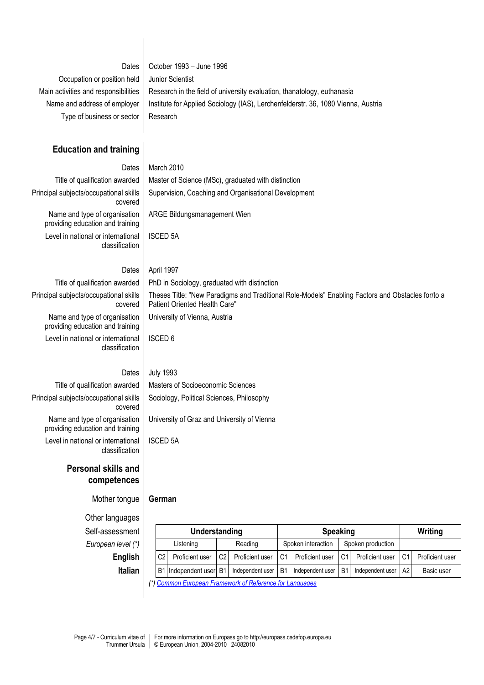| Dates<br>Occupation or position held<br>Main activities and responsibilities<br>Name and address of employer<br>Type of business or sector | October 1993 - June 1996<br>Junior Scientist<br>Research in the field of university evaluation, thanatology, euthanasia<br>Institute for Applied Sociology (IAS), Lerchenfelderstr. 36, 1080 Vienna, Austria<br>Research |
|--------------------------------------------------------------------------------------------------------------------------------------------|--------------------------------------------------------------------------------------------------------------------------------------------------------------------------------------------------------------------------|
| <b>Education and training</b>                                                                                                              |                                                                                                                                                                                                                          |
| Dates                                                                                                                                      | March 2010                                                                                                                                                                                                               |
| Title of qualification awarded                                                                                                             | Master of Science (MSc), graduated with distinction                                                                                                                                                                      |
| Principal subjects/occupational skills<br>covered                                                                                          | Supervision, Coaching and Organisational Development                                                                                                                                                                     |
| Name and type of organisation<br>providing education and training                                                                          | ARGE Bildungsmanagement Wien                                                                                                                                                                                             |
| Level in national or international<br>classification                                                                                       | <b>ISCED 5A</b>                                                                                                                                                                                                          |
| Dates                                                                                                                                      | April 1997                                                                                                                                                                                                               |
| Title of qualification awarded                                                                                                             | PhD in Sociology, graduated with distinction                                                                                                                                                                             |
| Principal subjects/occupational skills<br>covered                                                                                          | Theses Title: "New Paradigms and Traditional Role-Models" Enabling Factors and Obstacles for/to a<br>Patient Oriented Health Care"                                                                                       |
| Name and type of organisation<br>providing education and training                                                                          | University of Vienna, Austria                                                                                                                                                                                            |
| Level in national or international<br>classification                                                                                       | <b>ISCED 6</b>                                                                                                                                                                                                           |
| Dates                                                                                                                                      | <b>July 1993</b>                                                                                                                                                                                                         |
| Title of qualification awarded                                                                                                             | Masters of Socioeconomic Sciences                                                                                                                                                                                        |
| Principal subjects/occupational skills<br>covered                                                                                          | Sociology, Political Sciences, Philosophy                                                                                                                                                                                |
| Name and type of organisation<br>providing education and training                                                                          | University of Graz and University of Vienna                                                                                                                                                                              |
| Level in national or international<br>classification                                                                                       | <b>ISCED 5A</b>                                                                                                                                                                                                          |
| <b>Personal skills and</b><br>competences                                                                                                  |                                                                                                                                                                                                                          |
| Mother tongue                                                                                                                              | German                                                                                                                                                                                                                   |
| Other languages                                                                                                                            |                                                                                                                                                                                                                          |
| Self-assessment                                                                                                                            | <b>Speaking</b><br>Understanding<br><b>Writing</b>                                                                                                                                                                       |
| European level (*)                                                                                                                         | Spoken production<br>Reading<br>Spoken interaction<br>Listening                                                                                                                                                          |
| <b>English</b>                                                                                                                             | Proficient user<br>C <sub>2</sub><br>Proficient user<br>Proficient user<br>C <sub>1</sub><br>Proficient user<br>C <sub>1</sub><br>Proficient user<br>C <sub>2</sub><br>C <sub>1</sub>                                    |
| <b>Italian</b>                                                                                                                             | B <sub>1</sub><br>B <sub>1</sub><br>Independent user<br>Independent user<br>B <sub>1</sub><br>A2<br>B1 Independent user<br>Independent user<br>Basic user                                                                |
|                                                                                                                                            | Common European Framework of Reference for Languages                                                                                                                                                                     |

 $\overline{\phantom{a}}$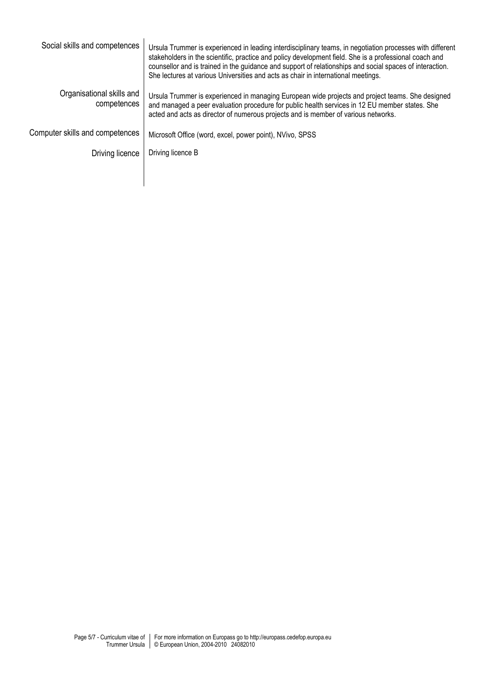| Social skills and competences            | Ursula Trummer is experienced in leading interdisciplinary teams, in negotiation processes with different<br>stakeholders in the scientific, practice and policy development field. She is a professional coach and<br>counsellor and is trained in the guidance and support of relationships and social spaces of interaction.<br>She lectures at various Universities and acts as chair in international meetings. |
|------------------------------------------|----------------------------------------------------------------------------------------------------------------------------------------------------------------------------------------------------------------------------------------------------------------------------------------------------------------------------------------------------------------------------------------------------------------------|
| Organisational skills and<br>competences | Ursula Trummer is experienced in managing European wide projects and project teams. She designed<br>and managed a peer evaluation procedure for public health services in 12 EU member states. She<br>acted and acts as director of numerous projects and is member of various networks.                                                                                                                             |
| Computer skills and competences          | Microsoft Office (word, excel, power point), NVivo, SPSS                                                                                                                                                                                                                                                                                                                                                             |
| Driving licence                          | Driving licence B                                                                                                                                                                                                                                                                                                                                                                                                    |
|                                          |                                                                                                                                                                                                                                                                                                                                                                                                                      |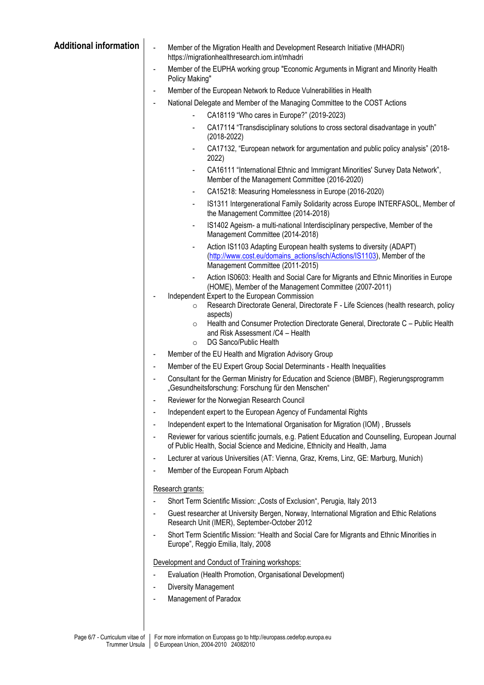| <b>Additional information</b> | $\blacksquare$<br>Member of the Migration Health and Development Research Initiative (MHADRI)<br>https://migrationhealthresearch.iom.int/mhadri                                                                |  |
|-------------------------------|----------------------------------------------------------------------------------------------------------------------------------------------------------------------------------------------------------------|--|
|                               | Member of the EUPHA working group "Economic Arguments in Migrant and Minority Health<br>Policy Making"                                                                                                         |  |
|                               | Member of the European Network to Reduce Vulnerabilities in Health<br>$\blacksquare$                                                                                                                           |  |
|                               | National Delegate and Member of the Managing Committee to the COST Actions                                                                                                                                     |  |
|                               | CA18119 "Who cares in Europe?" (2019-2023)<br>$\overline{\phantom{0}}$                                                                                                                                         |  |
|                               | CA17114 "Transdisciplinary solutions to cross sectoral disadvantage in youth"<br>$(2018 - 2022)$                                                                                                               |  |
|                               | CA17132, "European network for argumentation and public policy analysis" (2018-<br>2022)                                                                                                                       |  |
|                               | CA16111 "International Ethnic and Immigrant Minorities' Survey Data Network",<br>$\qquad \qquad \blacksquare$<br>Member of the Management Committee (2016-2020)                                                |  |
|                               | CA15218: Measuring Homelessness in Europe (2016-2020)<br>$\blacksquare$                                                                                                                                        |  |
|                               | IS1311 Intergenerational Family Solidarity across Europe INTERFASOL, Member of<br>$\blacksquare$<br>the Management Committee (2014-2018)                                                                       |  |
|                               | IS1402 Ageism- a multi-national Interdisciplinary perspective, Member of the<br>Management Committee (2014-2018)                                                                                               |  |
|                               | Action IS1103 Adapting European health systems to diversity (ADAPT)<br>$\overline{\phantom{a}}$<br>(http://www.cost.eu/domains_actions/isch/Actions/IS1103), Member of the<br>Management Committee (2011-2015) |  |
|                               | Action IS0603: Health and Social Care for Migrants and Ethnic Minorities in Europe<br>(HOME), Member of the Management Committee (2007-2011)                                                                   |  |
|                               | Independent Expert to the European Commission<br>$\overline{\phantom{a}}$<br>Research Directorate General, Directorate F - Life Sciences (health research, policy<br>$\circ$<br>aspects)                       |  |
|                               | Health and Consumer Protection Directorate General, Directorate C - Public Health<br>$\circ$<br>and Risk Assessment / C4 - Health<br>DG Sanco/Public Health<br>$\circ$                                         |  |
|                               | Member of the EU Health and Migration Advisory Group<br>$\blacksquare$                                                                                                                                         |  |
|                               | Member of the EU Expert Group Social Determinants - Health Inequalities<br>$\overline{\phantom{a}}$                                                                                                            |  |
|                               | Consultant for the German Ministry for Education and Science (BMBF), Regierungsprogramm<br>$\overline{\phantom{a}}$<br>"Gesundheitsforschung: Forschung für den Menschen"                                      |  |
|                               | Reviewer for the Norwegian Research Council                                                                                                                                                                    |  |
|                               | Independent expert to the European Agency of Fundamental Rights<br>$\qquad \qquad \blacksquare$                                                                                                                |  |
|                               | Independent expert to the International Organisation for Migration (IOM), Brussels<br>$\overline{\phantom{a}}$                                                                                                 |  |
|                               | Reviewer for various scientific journals, e.g. Patient Education and Counselling, European Journal<br>$\blacksquare$<br>of Public Health, Social Science and Medicine, Ethnicity and Health, Jama              |  |
|                               | Lecturer at various Universities (AT: Vienna, Graz, Krems, Linz, GE: Marburg, Munich)<br>$\overline{\phantom{a}}$                                                                                              |  |
|                               | Member of the European Forum Alpbach                                                                                                                                                                           |  |
|                               | Research grants:                                                                                                                                                                                               |  |
|                               | Short Term Scientific Mission: "Costs of Exclusion", Perugia, Italy 2013<br>$\overline{\phantom{a}}$                                                                                                           |  |
|                               | Guest researcher at University Bergen, Norway, International Migration and Ethic Relations<br>Research Unit (IMER), September-October 2012                                                                     |  |
|                               | Short Term Scientific Mission: "Health and Social Care for Migrants and Ethnic Minorities in<br>$\overline{\phantom{a}}$<br>Europe", Reggio Emilia, Italy, 2008                                                |  |
|                               | Development and Conduct of Training workshops:                                                                                                                                                                 |  |
|                               | Evaluation (Health Promotion, Organisational Development)                                                                                                                                                      |  |
|                               | Diversity Management                                                                                                                                                                                           |  |
|                               | Management of Paradox<br>$\overline{\phantom{a}}$                                                                                                                                                              |  |
|                               |                                                                                                                                                                                                                |  |
|                               |                                                                                                                                                                                                                |  |